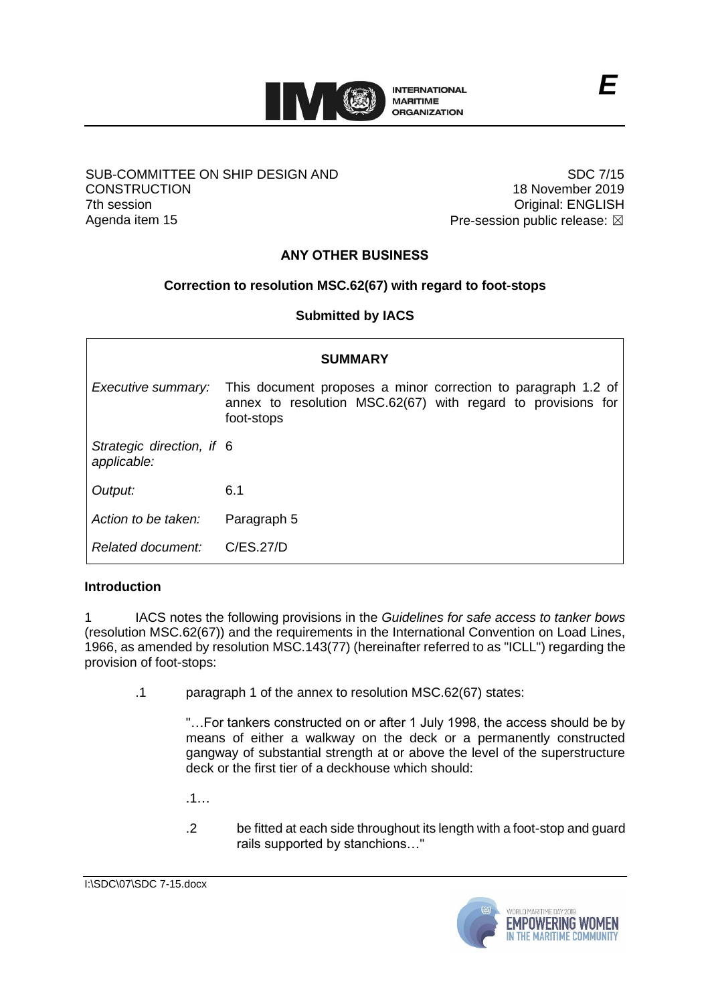

### SUB-COMMITTEE ON SHIP DESIGN AND **CONSTRUCTION** 7th session Agenda item 15

SDC 7/15 18 November 2019 Original: ENGLISH Pre-session public release:  $\boxtimes$ 

# **ANY OTHER BUSINESS**

## **Correction to resolution MSC.62(67) with regard to foot-stops**

**Submitted by IACS**

| <b>SUMMARY</b>                           |                                                                                                                                             |
|------------------------------------------|---------------------------------------------------------------------------------------------------------------------------------------------|
| Executive summary:                       | This document proposes a minor correction to paragraph 1.2 of<br>annex to resolution MSC.62(67) with regard to provisions for<br>foot-stops |
| Strategic direction, if 6<br>applicable: |                                                                                                                                             |
| Output:                                  | 6.1                                                                                                                                         |
| Action to be taken:                      | Paragraph 5                                                                                                                                 |
| Related document:                        | C/ES.27/D                                                                                                                                   |

### **Introduction**

1 IACS notes the following provisions in the *Guidelines for safe access to tanker bows* (resolution MSC.62(67)) and the requirements in the International Convention on Load Lines, 1966, as amended by resolution MSC.143(77) (hereinafter referred to as "ICLL") regarding the provision of foot-stops:

.1 paragraph 1 of the annex to resolution MSC.62(67) states:

"…For tankers constructed on or after 1 July 1998, the access should be by means of either a walkway on the deck or a permanently constructed gangway of substantial strength at or above the level of the superstructure deck or the first tier of a deckhouse which should:

.1…

.2 be fitted at each side throughout its length with a foot-stop and guard rails supported by stanchions…"